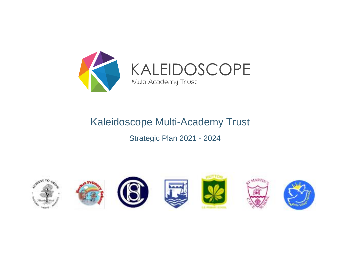

KALEIDOSCOPE Multi Academy Trust

# Kaleidoscope Multi-Academy Trust

# Strategic Plan 2021 - 2024

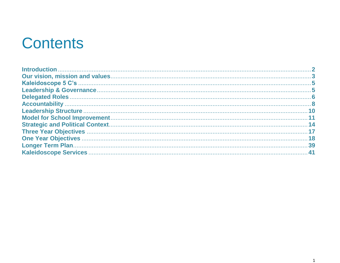# **Contents**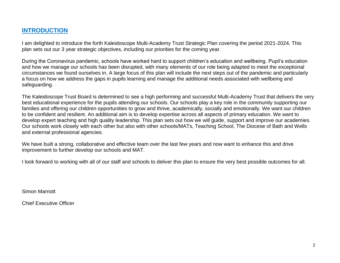#### **INTRODUCTION**

I am delighted to introduce the forth Kaleidoscope Multi-Academy Trust Strategic Plan covering the period 2021-2024. This plan sets out our 3 year strategic objectives, including our priorities for the coming year.

During the Coronavirus pandemic, schools have worked hard to support children's education and wellbeing. Pupil's education and how we manage our schools has been disrupted, with many elements of our role being adapted to meet the exceptional circumstances we found ourselves in. A large focus of this plan will include the next steps out of the pandemic and particularly a focus on how we address the gaps in pupils learning and manage the additional needs associated with wellbeing and safeguarding.

The Kaleidoscope Trust Board is determined to see a high performing and successful Multi-Academy Trust that delivers the very best educational experience for the pupils attending our schools. Our schools play a key role in the community supporting our families and offering our children opportunities to grow and thrive, academically, socially and emotionally. We want our children to be confident and resilient. An additional aim is to develop expertise across all aspects of primary education. We want to develop expert teaching and high quality leadership. This plan sets out how we will guide, support and improve our academies. Our schools work closely with each other but also with other schools/MATs, Teaching School, The Diocese of Bath and Wells and external professional agencies.

We have built a strong, collaborative and effective team over the last few years and now want to enhance this and drive improvement to further develop our schools and MAT.

I look forward to working with all of our staff and schools to deliver this plan to ensure the very best possible outcomes for all.

Simon Marriott

Chief Executive Officer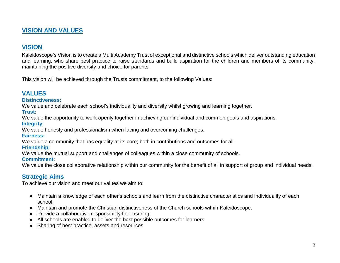# **VISION AND VALUES**

#### **VISION**

Kaleidoscope's Vision is to create a Multi Academy Trust of exceptional and distinctive schools which deliver outstanding education and learning, who share best practice to raise standards and build aspiration for the children and members of its community, maintaining the positive diversity and choice for parents.

This vision will be achieved through the Trusts commitment, to the following Values:

# **VALUES**

#### **Distinctiveness:**

We value and celebrate each school's individuality and diversity whilst growing and learning together.

**Trust:** 

We value the opportunity to work openly together in achieving our individual and common goals and aspirations.

#### **Integrity:**

We value honesty and professionalism when facing and overcoming challenges.

#### **Fairness:**

We value a community that has equality at its core; both in contributions and outcomes for all.

#### **Friendship:**

We value the mutual support and challenges of colleagues within a close community of schools.

#### **Commitment:**

We value the close collaborative relationship within our community for the benefit of all in support of group and individual needs.

#### **Strategic Aims**

To achieve our vision and meet our values we aim to:

- Maintain a knowledge of each other's schools and learn from the distinctive characteristics and individuality of each school.
- Maintain and promote the Christian distinctiveness of the Church schools within Kaleidoscope.
- Provide a collaborative responsibility for ensuring:
- All schools are enabled to deliver the best possible outcomes for learners
- Sharing of best practice, assets and resources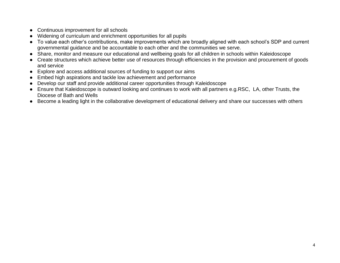- Continuous improvement for all schools
- Widening of curriculum and enrichment opportunities for all pupils
- To value each other's contributions, make improvements which are broadly aligned with each school's SDP and current governmental guidance and be accountable to each other and the communities we serve.
- Share, monitor and measure our educational and wellbeing goals for all children in schools within Kaleidoscope
- Create structures which achieve better use of resources through efficiencies in the provision and procurement of goods and service
- Explore and access additional sources of funding to support our aims
- Embed high aspirations and tackle low achievement and performance
- Develop our staff and provide additional career opportunities through Kaleidoscope
- Ensure that Kaleidoscope is outward looking and continues to work with all partners e.g.RSC, LA, other Trusts, the Diocese of Bath and Wells
- Become a leading light in the collaborative development of educational delivery and share our successes with others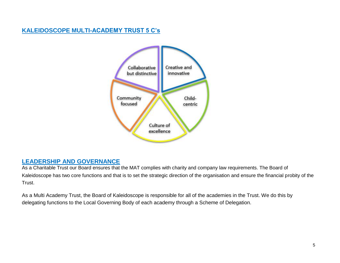# **KALEIDOSCOPE MULTI-ACADEMY TRUST 5 C's**



#### **LEADERSHIP AND GOVERNANCE**

As a Charitable Trust our Board ensures that the MAT complies with charity and company law requirements. The Board of Kaleidoscope has two core functions and that is to set the strategic direction of the organisation and ensure the financial probity of the Trust.

As a Multi Academy Trust, the Board of Kaleidoscope is responsible for all of the academies in the Trust. We do this by delegating functions to the Local Governing Body of each academy through a Scheme of Delegation.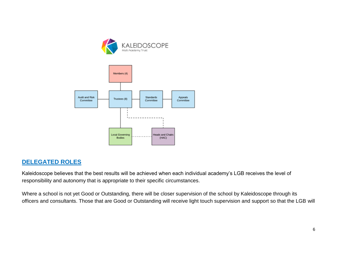



#### **DELEGATED ROLES**

Kaleidoscope believes that the best results will be achieved when each individual academy's LGB receives the level of responsibility and autonomy that is appropriate to their specific circumstances.

Where a school is not yet Good or Outstanding, there will be closer supervision of the school by Kaleidoscope through its officers and consultants. Those that are Good or Outstanding will receive light touch supervision and support so that the LGB will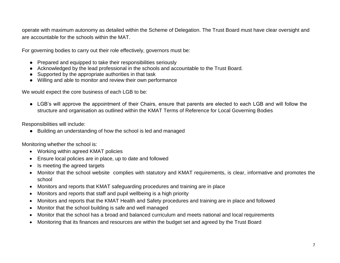operate with maximum autonomy as detailed within the Scheme of Delegation. The Trust Board must have clear oversight and are accountable for the schools within the MAT.

For governing bodies to carry out their role effectively, governors must be:

- Prepared and equipped to take their responsibilities seriously
- Acknowledged by the lead professional in the schools and accountable to the Trust Board.
- Supported by the appropriate authorities in that task
- Willing and able to monitor and review their own performance

We would expect the core business of each LGB to be:

● LGB's will approve the appointment of their Chairs, ensure that parents are elected to each LGB and will follow the structure and organisation as outlined within the KMAT Terms of Reference for Local Governing Bodies

Responsibilities will include:

● Building an understanding of how the school is led and managed

Monitoring whether the school is:

- Working within agreed KMAT policies
- Ensure local policies are in place, up to date and followed
- Is meeting the agreed targets
- Monitor that the school website complies with statutory and KMAT requirements, is clear, informative and promotes the school
- Monitors and reports that KMAT safeguarding procedures and training are in place
- Monitors and reports that staff and pupil wellbeing is a high priority
- Monitors and reports that the KMAT Health and Safety procedures and training are in place and followed
- Monitor that the school building is safe and well managed
- Monitor that the school has a broad and balanced curriculum and meets national and local requirements
- Monitoring that its finances and resources are within the budget set and agreed by the Trust Board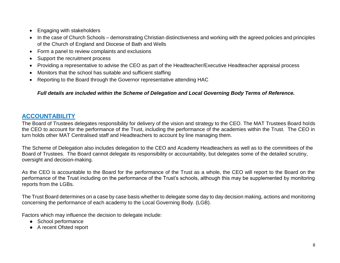- Engaging with stakeholders
- In the case of Church Schools demonstrating Christian distinctiveness and working with the agreed policies and principles of the Church of England and Diocese of Bath and Wells
- Form a panel to review complaints and exclusions
- Support the recruitment process
- Providing a representative to advise the CEO as part of the Headteacher/Executive Headteacher appraisal process
- Monitors that the school has suitable and sufficient staffing
- Reporting to the Board through the Governor representative attending HAC

#### *Full details are included within the Scheme of Delegation and Local Governing Body Terms of Reference.*

# **ACCOUNTABILITY**

The Board of Trustees delegates responsibility for delivery of the vision and strategy to the CEO. The MAT Trustees Board holds the CEO to account for the performance of the Trust, including the performance of the academies within the Trust. The CEO in turn holds other MAT Centralised staff and Headteachers to account by line managing them.

The Scheme of Delegation also includes delegation to the CEO and Academy Headteachers as well as to the committees of the Board of Trustees. The Board cannot delegate its responsibility or accountability, but delegates some of the detailed scrutiny, oversight and decision-making.

As the CEO is accountable to the Board for the performance of the Trust as a whole, the CEO will report to the Board on the performance of the Trust including on the performance of the Trust's schools, although this may be supplemented by monitoring reports from the LGBs.

The Trust Board determines on a case by case basis whether to delegate some day to day decision making, actions and monitoring concerning the performance of each academy to the Local Governing Body. (LGB).

Factors which may influence the decision to delegate include:

- School performance
- A recent Ofsted report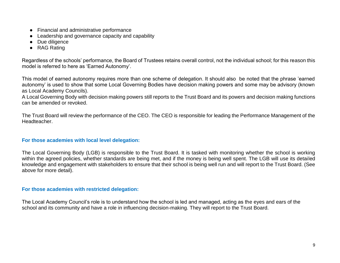- Financial and administrative performance
- Leadership and governance capacity and capability
- Due diligence
- RAG Rating

Regardless of the schools' performance, the Board of Trustees retains overall control, not the individual school; for this reason this model is referred to here as 'Earned Autonomy'.

This model of earned autonomy requires more than one scheme of delegation. It should also be noted that the phrase 'earned autonomy' is used to show that some Local Governing Bodies have decision making powers and some may be advisory (known as Local Academy Councils).

A Local Governing Body with decision making powers still reports to the Trust Board and its powers and decision making functions can be amended or revoked.

The Trust Board will review the performance of the CEO. The CEO is responsible for leading the Performance Management of the Headteacher.

#### **For those academies with local level delegation:**

The Local Governing Body (LGB) is responsible to the Trust Board. It is tasked with monitoring whether the school is working within the agreed policies, whether standards are being met, and if the money is being well spent. The LGB will use its detailed knowledge and engagement with stakeholders to ensure that their school is being well run and will report to the Trust Board. (See above for more detail).

#### **For those academies with restricted delegation:**

The Local Academy Council's role is to understand how the school is led and managed, acting as the eyes and ears of the school and its community and have a role in influencing decision-making. They will report to the Trust Board.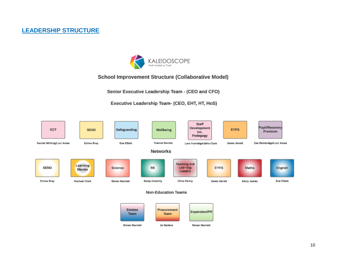# **LEADERSHIP STRUCTURE**



#### School Improvement Structure (Collaborative Model)

Senior Executive Leadership Team - (CEO and CFO)

Executive Leadership Team- (CEO, EHT, HT, HoS)

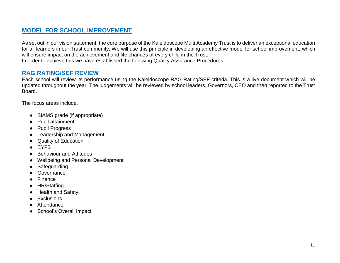# **MODEL FOR SCHOOL IMPROVEMENT**

As set out in our vision statement, the core purpose of the Kaleidoscope Multi Academy Trust is to deliver an exceptional education for all learners in our Trust community. We will use this principle in developing an effective model for school improvement, which will ensure impact on the achievement and life chances of every child in the Trust.

In order to achieve this we have established the following Quality Assurance Procedures.

#### **RAG RATING/SEF REVIEW**

Each school will review its performance using the Kaleidoscope RAG Rating/SEF criteria. This is a live document which will be updated throughout the year. The judgements will be reviewed by school leaders, Governors, CEO and then reported to the Trust Board.

The focus areas include.

- SIAMS grade (if appropriate)
- **Pupil attainment**
- Pupil Progress
- Leadership and Management
- **Quality of Education**
- EYFS
- Behaviour and Attitudes
- Wellbeing and Personal Development
- Safeguarding
- Governance
- **Finance**
- HR/Staffing
- **Health and Safety**
- **Exclusions**
- Attendance
- School's Overall Impact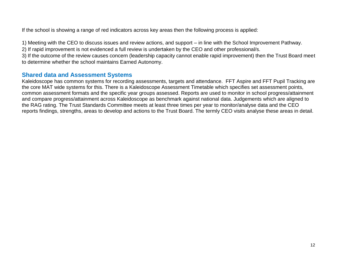If the school is showing a range of red indicators across key areas then the following process is applied:

1) Meeting with the CEO to discuss issues and review actions, and support – in line with the School Improvement Pathway.

2) If rapid improvement is not evidenced a full review is undertaken by the CEO and other professional/s.

3) If the outcome of the review causes concern (leadership capacity cannot enable rapid improvement) then the Trust Board meet to determine whether the school maintains Earned Autonomy.

#### **Shared data and Assessment Systems**

Kaleidoscope has common systems for recording assessments, targets and attendance. FFT Aspire and FFT Pupil Tracking are the core MAT wide systems for this. There is a Kaleidoscope Assessment Timetable which specifies set assessment points, common assessment formats and the specific year groups assessed. Reports are used to monitor in school progress/attainment and compare progress/attainment across Kaleidoscope as benchmark against national data. Judgements which are aligned to the RAG rating. The Trust Standards Committee meets at least three times per year to monitor/analyse data and the CEO reports findings, strengths, areas to develop and actions to the Trust Board. The termly CEO visits analyse these areas in detail.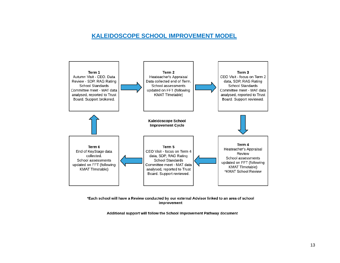#### **KALEIDOSCOPE SCHOOL IMPROVEMENT MODEL**



\*Each school will have a Review conducted by our external Advisor linked to an area of school improvement

Additional support will follow the School Improvement Pathway document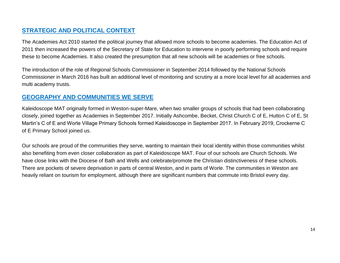# **STRATEGIC AND POLITICAL CONTEXT**

The Academies Act 2010 started the political journey that allowed more schools to become academies. The Education Act of 2011 then increased the powers of the Secretary of State for Education to intervene in poorly performing schools and require these to become Academies. It also created the presumption that all new schools will be academies or free schools.

The introduction of the role of Regional Schools Commissioner in September 2014 followed by the National Schools Commissioner in March 2016 has built an additional level of monitoring and scrutiny at a more local level for all academies and multi academy trusts.

# **GEOGRAPHY AND COMMUNITIES WE SERVE**

Kaleidoscope MAT originally formed in Weston-super-Mare, when two smaller groups of schools that had been collaborating closely, joined together as Academies in September 2017. Initially Ashcombe, Becket, Christ Church C of E, Hutton C of E, St Martin's C of E and Worle Village Primary Schools formed Kaleidoscope in September 2017. In February 2019, Crockerne C of E Primary School joined us.

Our schools are proud of the communities they serve, wanting to maintain their local identity within those communities whilst also benefiting from even closer collaboration as part of Kaleidoscope MAT. Four of our schools are Church Schools. We have close links with the Diocese of Bath and Wells and celebrate/promote the Christian distinctiveness of these schools. There are pockets of severe deprivation in parts of central Weston, and in parts of Worle. The communities in Weston are heavily reliant on tourism for employment, although there are significant numbers that commute into Bristol every day.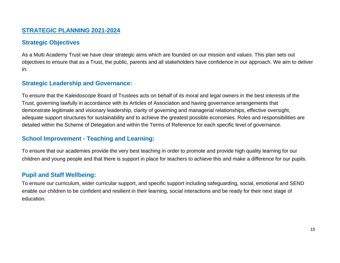#### **STRATEGIC PLANNING 2021-2024**

### **Strategic Objectives**

As a Multi Academy Trust we have clear strategic aims which are founded on our mission and values. This plan sets out objectives to ensure that as a Trust, the public, parents and all stakeholders have confidence in our approach. We aim to deliver in:

#### **Strategic Leadership and Governance:**

To ensure that the Kaleidoscope Board of Trustees acts on behalf of its moral and legal owners in the best interests of the Trust, governing lawfully in accordance with its Articles of Association and having governance arrangements that demonstrate legitimate and visionary leadership, clarity of governing and managerial relationships, effective oversight, adequate support structures for sustainability and to achieve the greatest possible economies. Roles and responsibilities are detailed within the Scheme of Delegation and within the Terms of Reference for each specific level of governance.

#### **School Improvement - Teaching and Learning:**

To ensure that our academies provide the very best teaching in order to promote and provide high quality learning for our children and young people and that there is support in place for teachers to achieve this and make a difference for our pupils.

#### **Pupil and Staff Wellbeing:**

To ensure our curriculum, wider curricular support, and specific support including safeguarding, social, emotional and SEND enable our children to be confident and resilient in their learning, social interactions and be ready for their next stage of education.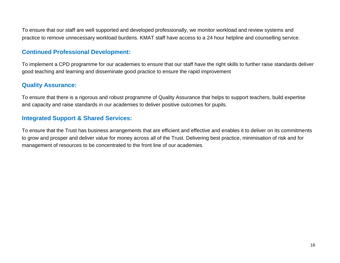To ensure that our staff are well supported and developed professionally, we monitor workload and review systems and practice to remove unnecessary workload burdens. KMAT staff have access to a 24 hour helpline and counselling service.

#### **Continued Professional Development:**

To implement a CPD programme for our academies to ensure that our staff have the right skills to further raise standards deliver good teaching and learning and disseminate good practice to ensure the rapid improvement

#### **Quality Assurance:**

To ensure that there is a rigorous and robust programme of Quality Assurance that helps to support teachers, build expertise and capacity and raise standards in our academies to deliver positive outcomes for pupils.

# **Integrated Support & Shared Services:**

To ensure that the Trust has business arrangements that are efficient and effective and enables it to deliver on its commitments to grow and prosper and deliver value for money across all of the Trust. Delivering best practice, minimisation of risk and for management of resources to be concentrated to the front line of our academies.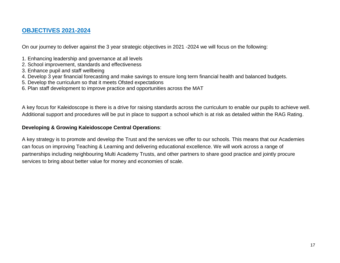### **OBJECTIVES 2021-2024**

On our journey to deliver against the 3 year strategic objectives in 2021 -2024 we will focus on the following:

- 1. Enhancing leadership and governance at all levels
- 2. School improvement, standards and effectiveness
- 3. Enhance pupil and staff wellbeing
- 4. Develop 3 year financial forecasting and make savings to ensure long term financial health and balanced budgets.
- 5. Develop the curriculum so that it meets Ofsted expectations
- 6. Plan staff development to improve practice and opportunities across the MAT

A key focus for Kaleidoscope is there is a drive for raising standards across the curriculum to enable our pupils to achieve well. Additional support and procedures will be put in place to support a school which is at risk as detailed within the RAG Rating.

#### **Developing & Growing Kaleidoscope Central Operations**:

A key strategy is to promote and develop the Trust and the services we offer to our schools. This means that our Academies can focus on improving Teaching & Learning and delivering educational excellence. We will work across a range of partnerships including neighbouring Multi Academy Trusts, and other partners to share good practice and jointly procure services to bring about better value for money and economies of scale.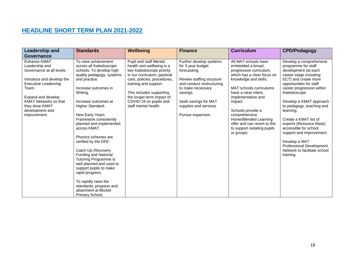# **HEADLINE SHORT TERM PLAN 2021-2022**

| Leadership and<br>Governance                                                                                                                                                                                                          | <b>Standards</b>                                                                                                                                                                                                                                                                                                                                                                                                                                                                                                                                                                               | Wellbeing                                                                                                                                                                                                                                                                                 | <b>Finance</b>                                                                                                                                                                                                                | <b>Curriculum</b>                                                                                                                                                                                                                                                                                                                                           | <b>CPD/Pedagogy</b>                                                                                                                                                                                                                                                                                                                                                                                                                                                       |
|---------------------------------------------------------------------------------------------------------------------------------------------------------------------------------------------------------------------------------------|------------------------------------------------------------------------------------------------------------------------------------------------------------------------------------------------------------------------------------------------------------------------------------------------------------------------------------------------------------------------------------------------------------------------------------------------------------------------------------------------------------------------------------------------------------------------------------------------|-------------------------------------------------------------------------------------------------------------------------------------------------------------------------------------------------------------------------------------------------------------------------------------------|-------------------------------------------------------------------------------------------------------------------------------------------------------------------------------------------------------------------------------|-------------------------------------------------------------------------------------------------------------------------------------------------------------------------------------------------------------------------------------------------------------------------------------------------------------------------------------------------------------|---------------------------------------------------------------------------------------------------------------------------------------------------------------------------------------------------------------------------------------------------------------------------------------------------------------------------------------------------------------------------------------------------------------------------------------------------------------------------|
| Enhance KMAT<br>Leadership and<br>Governance at all levels.<br>Introduce and develop the<br>Executive Leadership<br>Team.<br>Expand and develop<br><b>KMAT Networks so that</b><br>they drive KMAT<br>development and<br>improvement. | To raise achievement<br>across all Kaleidoscope<br>schools. To develop high<br>quality pedagogy, systems<br>and practice.<br>Increase outcomes in<br>Writing.<br>Increase outcomes at<br>Higher Standard.<br>New Early Years<br>Framework consistently<br>planned and implemented<br>across KMAT.<br>Phonics schemes are<br>verified by the DFE<br>Catch-Up / Recovery<br>Funding and National<br>Tutoring Programme is<br>well planned and used to<br>support pupils to make<br>rapid progress.<br>To rapidly raise the<br>standards, progress and<br>attainment at Becket<br>Primary School. | <b>Pupil and staff Mental</b><br>health and wellbeing is a<br>key Kaleidoscope priority<br>in our curriculum, pastoral<br>care, policies, procedures,<br>training and support.<br>This includes supporting<br>the longer-term impact of<br>COVID-19 on pupils and<br>staff mental health. | Further develop systems<br>for 3 year budget<br>forecasting.<br>Review staffing structure<br>and conduct restructuring<br>to make necessary<br>savings.<br>Seek savings for MAT<br>supplies and services<br>Pursue expansion. | All MAT schools have<br>embedded a broad.<br>progressive curriculum,<br>which has a clear focus on<br>knowledge and skills.<br>MAT schools curriculums<br>have a clear intent.<br>implementation and<br>impact.<br>Schools provide a<br>comprehensive<br>Home/Blended Learning<br>offer and can revert to this<br>to support isolating pupils<br>or groups. | Develop a comprehensive<br>programme for staff<br>development (at each<br>career stage including<br>ECT) and create more<br>opportunities for staff<br>career progression within<br>Kaleidoscope.<br>Develop a KMAT approach<br>to pedagogy, teaching and<br>learning.<br>Create a KMAT list of<br>experts (Resource Base)<br>accessible for school<br>support and improvement.<br>Develop a MAT<br>Professional Development<br>Network to facilitate school<br>training. |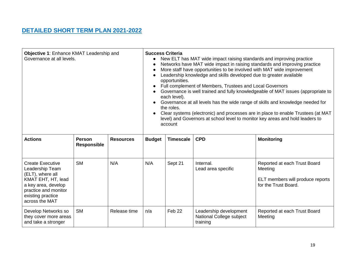# **DETAILED SHORT TERM PLAN 2021-2022**

| Objective 1: Enhance KMAT Leadership and<br>Governance at all levels.                                                                                                      |                                     | <b>Success Criteria</b><br>New ELT has MAT wide impact raising standards and improving practice<br>Networks have MAT wide impact in raising standards and improving practice<br>More staff have opportunities to be involved with MAT wide improvement<br>$\bullet$<br>Leadership knowledge and skills developed due to greater available<br>opportunities.<br>Full complement of Members, Trustees and Local Governors<br>Governance is well trained and fully knowledgeable of MAT issues (appropriate to<br>each level).<br>Governance at all levels has the wide range of skills and knowledge needed for<br>the roles.<br>Clear systems (electronic) and processes are in place to enable Trustees (at MAT<br>level) and Governors at school level to monitor key areas and hold leaders to<br>account |                                                                      |         |                                                                |                                                                                                     |  |
|----------------------------------------------------------------------------------------------------------------------------------------------------------------------------|-------------------------------------|-------------------------------------------------------------------------------------------------------------------------------------------------------------------------------------------------------------------------------------------------------------------------------------------------------------------------------------------------------------------------------------------------------------------------------------------------------------------------------------------------------------------------------------------------------------------------------------------------------------------------------------------------------------------------------------------------------------------------------------------------------------------------------------------------------------|----------------------------------------------------------------------|---------|----------------------------------------------------------------|-----------------------------------------------------------------------------------------------------|--|
| <b>Actions</b>                                                                                                                                                             | <b>Person</b><br><b>Responsible</b> | <b>Resources</b>                                                                                                                                                                                                                                                                                                                                                                                                                                                                                                                                                                                                                                                                                                                                                                                            | <b>CPD</b><br><b>Budget</b><br><b>Timescale</b><br><b>Monitoring</b> |         |                                                                |                                                                                                     |  |
| <b>Create Executive</b><br>Leadership Team<br>(ELT), where all<br>KMAT EHT, HT, lead<br>a key area, develop<br>practice and monitor<br>existing practice<br>across the MAT | <b>SM</b>                           | N/A                                                                                                                                                                                                                                                                                                                                                                                                                                                                                                                                                                                                                                                                                                                                                                                                         | N/A                                                                  | Sept 21 | Internal.<br>Lead area specific                                | Reported at each Trust Board<br>Meeting<br>ELT members will produce reports<br>for the Trust Board. |  |
| Develop Networks so<br>they cover more areas<br>and take a stronger                                                                                                        | <b>SM</b>                           | Release time                                                                                                                                                                                                                                                                                                                                                                                                                                                                                                                                                                                                                                                                                                                                                                                                | n/a                                                                  | Feb 22  | Leadership development<br>National College subject<br>training | Reported at each Trust Board<br>Meeting                                                             |  |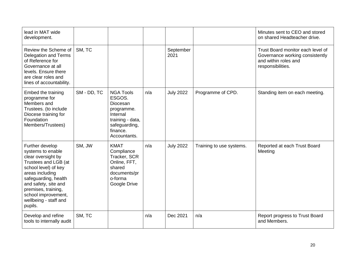| lead in MAT wide<br>development.                                                                                                                                                                                                                                |             |                                                                                                                                   |     |                   |                          | Minutes sent to CEO and stored<br>on shared Headteacher drive.                                                    |
|-----------------------------------------------------------------------------------------------------------------------------------------------------------------------------------------------------------------------------------------------------------------|-------------|-----------------------------------------------------------------------------------------------------------------------------------|-----|-------------------|--------------------------|-------------------------------------------------------------------------------------------------------------------|
| Review the Scheme of<br><b>Delegation and Terms</b><br>of Reference for<br>Governance at all<br>levels. Ensure there<br>are clear roles and<br>lines of accountability.                                                                                         | SM, TC      |                                                                                                                                   |     | September<br>2021 |                          | Trust Board monitor each level of<br>Governance working consistently<br>and within roles and<br>responsibilities. |
| Embed the training<br>programme for<br>Members and<br>Trustees. (to include<br>Diocese training for<br>Foundation<br>Members/Trustees)                                                                                                                          | SM - DD, TC | <b>NGA Tools</b><br>ESGOS.<br>Diocesan<br>programme.<br>Internal<br>training - data,<br>safeguarding,<br>finance.<br>Accountants. | n/a | <b>July 2022</b>  | Programme of CPD.        | Standing item on each meeting.                                                                                    |
| Further develop<br>systems to enable<br>clear oversight by<br>Trustees and LGB (at<br>school level) of key<br>areas including<br>safeguarding, health<br>and safety, site and<br>premises, training,<br>school improvement,<br>wellbeing - staff and<br>pupils. | SM, JW      | <b>KMAT</b><br>Compliance<br>Tracker, SCR<br>Online, FFT,<br>shared<br>documents/pr<br>o-forma<br>Google Drive                    | n/a | <b>July 2022</b>  | Training to use systems. | Reported at each Trust Board<br>Meeting                                                                           |
| Develop and refine<br>tools to internally audit                                                                                                                                                                                                                 | SM, TC      |                                                                                                                                   | n/a | Dec 2021          | n/a                      | Report progress to Trust Board<br>and Members.                                                                    |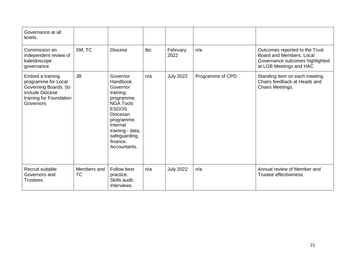| Governance at all<br>levels.                                                                                                |                          |                                                                                                                                                                                                  |     |                  |                   |                                                                                                                          |
|-----------------------------------------------------------------------------------------------------------------------------|--------------------------|--------------------------------------------------------------------------------------------------------------------------------------------------------------------------------------------------|-----|------------------|-------------------|--------------------------------------------------------------------------------------------------------------------------|
| Commission an<br>independent review of<br>kaleidoscope<br>governance.                                                       | SM, TC                   | <b>Diocese</b>                                                                                                                                                                                   | tbc | February<br>2022 | n/a               | Outcomes reported to the Trust<br>Board and Members, Local<br>Governance outcomes highlighted<br>at LGB Meetings and HAC |
| Embed a training<br>programme for Local<br>Governing Boards. (to<br>include Diocese<br>training for Foundation<br>Governors | <b>JB</b>                | Governor<br>Handbook.<br>Governor<br>training<br>programme.<br><b>NGA Tools</b><br>ESGOS.<br>Diocesan<br>programme.<br>Internal<br>training - data,<br>safeguarding,<br>finance.<br>Accountants. | n/a | <b>July 2022</b> | Programme of CPD. | Standing item on each meeting.<br>Chairs feedback at Heads and<br>Chairs Meetings.                                       |
| Recruit suitable<br>Governors and<br>Trustees.                                                                              | Members and<br><b>TC</b> | Follow best<br>practice.<br>Skills audit.<br>Interviews.                                                                                                                                         | n/a | <b>July 2022</b> | n/a               | Annual review of Member and<br>Trustee effectiveness.                                                                    |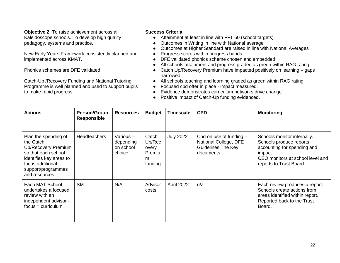| <b>Objective 2:</b> To raise achievement across all<br>Kaleidoscope schools. To develop high quality<br>pedagogy, systems and practice.<br>New Early Years Framework consistently planned and<br>implemented across KMAT.<br>Phonics schemes are DFE validated<br>Catch-Up / Recovery Funding and National Tutoring<br>Programme is well planned and used to support pupils<br>to make rapid progress. |                                           | <b>Success Criteria</b>                      | Attainment at least in line with FFT 50 (school targets)<br>Outcomes in Writing in line with National average<br>Outcomes at Higher Standard are raised in line with National Averages<br>Progress scores within progress bands.<br>DFE validated phonics scheme chosen and embedded<br>All schools attainment and progress graded as green within RAG rating.<br>Catch Up/Recovery Premium have impacted positively on learning – gaps<br>narrowed.<br>All schools teaching and learning graded as green within RAG rating.<br>Focused cpd offer in place - impact measured.<br>Evidence demonstrates curriculum networks drive change.<br>Positive impact of Catch-Up funding evidenced. |                  |                                                                                               |                                                                                                                                                                 |
|--------------------------------------------------------------------------------------------------------------------------------------------------------------------------------------------------------------------------------------------------------------------------------------------------------------------------------------------------------------------------------------------------------|-------------------------------------------|----------------------------------------------|--------------------------------------------------------------------------------------------------------------------------------------------------------------------------------------------------------------------------------------------------------------------------------------------------------------------------------------------------------------------------------------------------------------------------------------------------------------------------------------------------------------------------------------------------------------------------------------------------------------------------------------------------------------------------------------------|------------------|-----------------------------------------------------------------------------------------------|-----------------------------------------------------------------------------------------------------------------------------------------------------------------|
| <b>Actions</b>                                                                                                                                                                                                                                                                                                                                                                                         | <b>Person/Group</b><br><b>Responsible</b> | <b>Resources</b>                             | <b>CPD</b><br><b>Budget</b><br><b>Timescale</b><br><b>Monitoring</b>                                                                                                                                                                                                                                                                                                                                                                                                                                                                                                                                                                                                                       |                  |                                                                                               |                                                                                                                                                                 |
| Plan the spending of<br>the Catch<br><b>Up/Recovery Premium</b><br>so that each school<br>identifies key areas to<br>focus additional<br>support/programmes<br>and resources                                                                                                                                                                                                                           | Headteachers                              | Various-<br>depending<br>on school<br>choice | Catch<br>Up/Rec<br>overy<br>Premiu<br>m<br>funding                                                                                                                                                                                                                                                                                                                                                                                                                                                                                                                                                                                                                                         | <b>July 2022</b> | Cpd on use of funding $-$<br>National College, DFE<br><b>Guidelines The Key</b><br>documents. | Schools monitor internally.<br>Schools produce reports<br>accounting for spending and<br>impact.<br>CEO monitors at school level and<br>reports to Trust Board. |
| Each MAT School<br>undertakes a focused<br>review with an<br>independent advisor -<br>$focus = curriculum$                                                                                                                                                                                                                                                                                             | <b>SM</b>                                 | N/A                                          | Advisor<br>costs                                                                                                                                                                                                                                                                                                                                                                                                                                                                                                                                                                                                                                                                           | April 2022       | n/a                                                                                           | Each review produces a report.<br>Schools create actions from<br>areas identified within report.<br>Reported back to the Trust<br>Board.                        |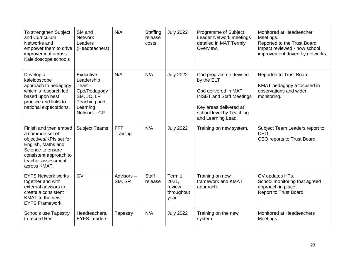| To strengthen Subject<br>and Curriculum<br>Networks and<br>empower them to drive<br>improvement across<br>Kaleidoscope schools                                                 | SM and<br><b>Network</b><br>Leaders<br>(Headteachers)                                                       | N/A                    | Staffing<br>release<br>costs | <b>July 2022</b>                                 | Programme of Subject<br><b>Leader Network meetings</b><br>detailed in MAT Termly<br>Overview.                                                                              | Monitored at Headteacher<br>Meetings.<br>Reported to the Trust Board.<br>Impact reviewed - how school<br>improvement driven by networks. |
|--------------------------------------------------------------------------------------------------------------------------------------------------------------------------------|-------------------------------------------------------------------------------------------------------------|------------------------|------------------------------|--------------------------------------------------|----------------------------------------------------------------------------------------------------------------------------------------------------------------------------|------------------------------------------------------------------------------------------------------------------------------------------|
| Develop a<br>kaleidoscope<br>approach to pedagogy<br>which is research led,<br>based upon best<br>practice and links to<br>national expectations.                              | Executive<br>Leadership<br>Team -<br>Cpd/Pedagogy<br>SM, JC, LF<br>Teaching and<br>Learning<br>Network - CP | N/A                    | N/A                          | <b>July 2022</b>                                 | Cpd programme devised<br>by the ELT<br>Cpd delivered in MAT<br><b>INSET and Staff Meetings</b><br>Key areas delivered at<br>school level by Teaching<br>and Learning Lead. | Reported to Trust Board.<br>KMAT pedagogy a focused in<br>observations and wider<br>monitoring.                                          |
| Finish and then embed<br>a common set of<br>objectives/KPIs set for<br>English, Maths and<br>Science to ensure<br>consistent approach to<br>teacher assessment<br>across KMAT. | <b>Subject Teams</b>                                                                                        | <b>FFT</b><br>Training | N/A                          | <b>July 2022</b>                                 | Training on new system.                                                                                                                                                    | Subject Team Leaders report to<br>CEO.<br>CEO reports to Trust Board.                                                                    |
| <b>EYFS Network works</b><br>together and with<br>external advisors to<br>create a consistent<br>KMAT to the new<br><b>EYFS Framework.</b>                                     | GV                                                                                                          | Advisors-<br>SM, SR    | <b>Staff</b><br>release      | Term 1<br>2021,<br>review<br>throughout<br>year. | Training on new<br>framework and KMAT<br>approach.                                                                                                                         | GV updates HTs.<br>School monitoring that agreed<br>approach in place.<br>Report to Trust Board.                                         |
| <b>Schools use Tapestry</b><br>to record Rec                                                                                                                                   | Headteachers,<br><b>EYFS Leaders</b>                                                                        | Tapestry               | N/A                          | <b>July 2022</b>                                 | Training on the new<br>system.                                                                                                                                             | Monitored at Headteachers<br>Meetings.                                                                                                   |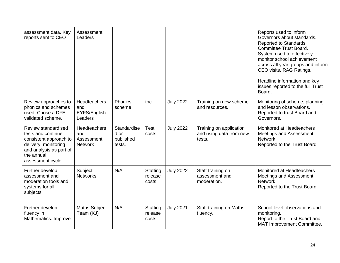| assessment data. Key<br>reports sent to CEO                                                                                                               | Assessment<br>Leaders                               |                                            |                               |                  |                                                              | Reports used to inform<br>Governors about standards.<br><b>Reported to Standards</b><br><b>Committee Trust Board.</b><br>System used to effectively<br>monitor school achievement<br>across all year groups and inform<br>CEO visits, RAG Ratings.<br>Headline information and key<br>issues reported to the full Trust<br>Board. |
|-----------------------------------------------------------------------------------------------------------------------------------------------------------|-----------------------------------------------------|--------------------------------------------|-------------------------------|------------------|--------------------------------------------------------------|-----------------------------------------------------------------------------------------------------------------------------------------------------------------------------------------------------------------------------------------------------------------------------------------------------------------------------------|
| Review approaches to<br>phonics and schemes<br>used. Chose a DFE<br>validated scheme.                                                                     | Headteachers<br>and<br>EYFS/English<br>Leaders      | Phonics<br>scheme                          | tbc                           | <b>July 2022</b> | Training on new scheme<br>and resources.                     | Monitoring of scheme, planning<br>and lesson observations.<br>Reported to trust Board and<br>Governors.                                                                                                                                                                                                                           |
| Review standardised<br>tests and continue<br>consistent approach to<br>delivery, monitoring<br>and analysis as part of<br>the annual<br>assessment cycle. | Headteachers<br>and<br>Assessment<br><b>Network</b> | Standardise<br>d or<br>published<br>tests. | Test<br>costs.                | <b>July 2022</b> | Training on application<br>and using data from new<br>tests. | Monitored at Headteachers<br>Meetings and Assessment<br>Network.<br>Reported to the Trust Board.                                                                                                                                                                                                                                  |
| Further develop<br>assessment and<br>moderation tools and<br>systems for all<br>subjects.                                                                 | Subject<br><b>Networks</b>                          | N/A                                        | Staffing<br>release<br>costs. | <b>July 2022</b> | Staff training on<br>assessment and<br>moderation.           | Monitored at Headteachers<br>Meetings and Assessment<br>Network.<br>Reported to the Trust Board.                                                                                                                                                                                                                                  |
| Further develop<br>fluency in<br>Mathematics. Improve                                                                                                     | <b>Maths Subject</b><br>Team (KJ)                   | N/A                                        | Staffing<br>release<br>costs. | <b>July 2021</b> | Staff training on Maths<br>fluency.                          | School level observations and<br>monitoring.<br>Report to the Trust Board and<br>MAT Improvement Committee.                                                                                                                                                                                                                       |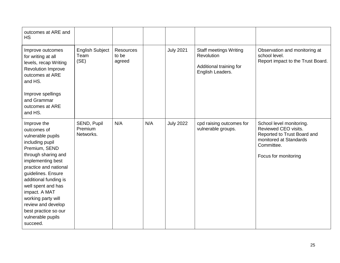| outcomes at ARE and<br><b>HS</b>                                                                                                                                                                                                                                                                                                                    |                                        |                                     |     |                  |                                                                                            |                                                                                                                                                 |
|-----------------------------------------------------------------------------------------------------------------------------------------------------------------------------------------------------------------------------------------------------------------------------------------------------------------------------------------------------|----------------------------------------|-------------------------------------|-----|------------------|--------------------------------------------------------------------------------------------|-------------------------------------------------------------------------------------------------------------------------------------------------|
| Improve outcomes<br>for writing at all<br>levels, recap Writing<br>Revolution Improve<br>outcomes at ARE<br>and HS.<br>Improve spellings<br>and Grammar<br>outcomes at ARE<br>and HS.                                                                                                                                                               | <b>English Subject</b><br>Team<br>(SE) | <b>Resources</b><br>to be<br>agreed |     | <b>July 2021</b> | <b>Staff meetings Writing</b><br>Revolution<br>Additional training for<br>English Leaders. | Observation and monitoring at<br>school level.<br>Report impact to the Trust Board.                                                             |
| Improve the<br>outcomes of<br>vulnerable pupils<br>including pupil<br>Premium, SEND<br>through sharing and<br>implementing best<br>practice and national<br>guidelines. Ensure<br>additional funding is<br>well spent and has<br>impact. A MAT<br>working party will<br>review and develop<br>best practice so our<br>vulnerable pupils<br>succeed. | SEND, Pupil<br>Premium<br>Networks.    | N/A                                 | N/A | <b>July 2022</b> | cpd raising outcomes for<br>vulnerable groups.                                             | School level monitoring.<br>Reviewed CEO visits.<br>Reported to Trust Board and<br>monitored at Standards<br>Committee.<br>Focus for monitoring |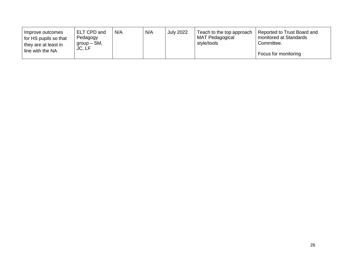| ELT CPD and<br>Improve outcomes<br>Pedagogy<br>for HS pupils so that<br>$qroup - SM$<br>they are at least in<br>JC, LF<br>line with the NA | N/A | N/A | <b>July 2022</b> | Teach to the top approach<br>MAT Pedagogical<br>style/tools | Reported to Trust Board and<br>monitored at Standards<br>Committee.<br>Focus for monitoring |
|--------------------------------------------------------------------------------------------------------------------------------------------|-----|-----|------------------|-------------------------------------------------------------|---------------------------------------------------------------------------------------------|
|--------------------------------------------------------------------------------------------------------------------------------------------|-----|-----|------------------|-------------------------------------------------------------|---------------------------------------------------------------------------------------------|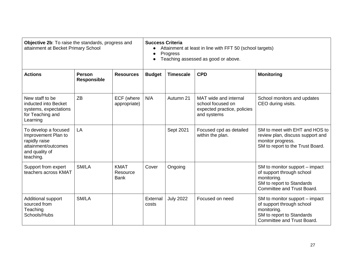| Objective 2b: To raise the standards, progress and<br>attainment at Becket Primary School                          |                                     | <b>Success Criteria</b><br>Attainment at least in line with FFT 50 (school targets)<br>Progress<br>Teaching assessed as good or above. |                   |                  |                                                                                          |                                                                                                                                       |
|--------------------------------------------------------------------------------------------------------------------|-------------------------------------|----------------------------------------------------------------------------------------------------------------------------------------|-------------------|------------------|------------------------------------------------------------------------------------------|---------------------------------------------------------------------------------------------------------------------------------------|
| <b>Actions</b>                                                                                                     | <b>Person</b><br><b>Responsible</b> | <b>Resources</b>                                                                                                                       | <b>Budget</b>     | <b>Timescale</b> | <b>CPD</b>                                                                               | <b>Monitoring</b>                                                                                                                     |
| New staff to be<br>inducted into Becket<br>systems, expectations<br>for Teaching and<br>Learning                   | <b>ZB</b>                           | ECF (where<br>appropriate)                                                                                                             | N/A               | Autumn 21        | MAT wide and internal<br>school focused on<br>expected practice, policies<br>and systems | School monitors and updates<br>CEO during visits.                                                                                     |
| To develop a focused<br>Improvement Plan to<br>rapidly raise<br>attainment/outcomes<br>and quality of<br>teaching. | LA                                  |                                                                                                                                        |                   | Sept 2021        | Focused cpd as detailed<br>within the plan.                                              | SM to meet with EHT and HOS to<br>review plan, discuss support and<br>monitor progress.<br>SM to report to the Trust Board.           |
| Support from expert<br>teachers across KMAT                                                                        | SM/LA                               | <b>KMAT</b><br>Resource<br><b>Bank</b>                                                                                                 | Cover             | Ongoing          |                                                                                          | SM to monitor support – impact<br>of support through school<br>monitoring.<br>SM to report to Standards<br>Committee and Trust Board. |
| Additional support<br>sourced from<br>Teaching<br>Schools/Hubs                                                     | SM/LA                               |                                                                                                                                        | External<br>costs | <b>July 2022</b> | Focused on need                                                                          | SM to monitor support – impact<br>of support through school<br>monitoring.<br>SM to report to Standards<br>Committee and Trust Board. |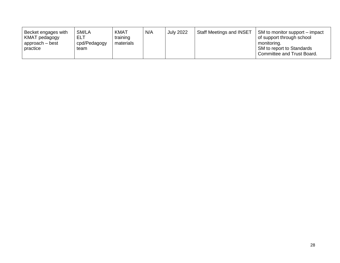| Becket engages with<br>KMAT pedagogy<br>  approach – best<br>practice | SM/LA<br>ELT<br>cpd/Pedagogy<br>team | KMAT<br>training<br>materials | N/A | <b>July 2022</b> | <b>Staff Meetings and INSET</b> | SM to monitor support – impact<br>of support through school<br>monitoring.<br>SM to report to Standards<br>' Committee and Trust Board. |
|-----------------------------------------------------------------------|--------------------------------------|-------------------------------|-----|------------------|---------------------------------|-----------------------------------------------------------------------------------------------------------------------------------------|
|-----------------------------------------------------------------------|--------------------------------------|-------------------------------|-----|------------------|---------------------------------|-----------------------------------------------------------------------------------------------------------------------------------------|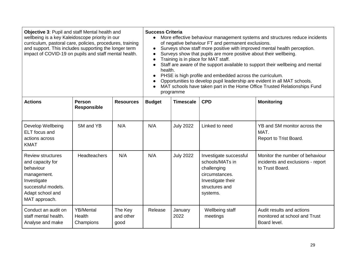| Objective 3: Pupil and staff Mental health and<br>wellbeing is a key Kaleidoscope priority in our<br>curriculum, pastoral care, policies, procedures, training<br>and support. This includes supporting the longer term<br>impact of COVID-19 on pupils and staff mental health. |                                         |                              | <b>Success Criteria</b><br>More effective behaviour management systems and structures reduce incidents<br>$\bullet$<br>of negative behaviour FT and permanent exclusions.<br>Surveys show staff more positive with improved mental health perception.<br>$\bullet$<br>Surveys show that pupils are more positive about their wellbeing.<br>$\bullet$<br>Training is in place for MAT staff.<br>$\bullet$<br>Staff are aware of the support available to support their wellbeing and mental<br>health.<br>PHSE is high profile and embedded across the curriculum.<br>$\bullet$<br>Opportunities to develop pupil leadership are evident in all MAT schools.<br>$\bullet$<br>MAT schools have taken part in the Home Office Trusted Relationships Fund<br>programme |                  |                                                                                                                               |                                                                                         |  |
|----------------------------------------------------------------------------------------------------------------------------------------------------------------------------------------------------------------------------------------------------------------------------------|-----------------------------------------|------------------------------|--------------------------------------------------------------------------------------------------------------------------------------------------------------------------------------------------------------------------------------------------------------------------------------------------------------------------------------------------------------------------------------------------------------------------------------------------------------------------------------------------------------------------------------------------------------------------------------------------------------------------------------------------------------------------------------------------------------------------------------------------------------------|------------------|-------------------------------------------------------------------------------------------------------------------------------|-----------------------------------------------------------------------------------------|--|
| <b>Actions</b>                                                                                                                                                                                                                                                                   | Person<br>Responsible                   | <b>Resources</b>             | <b>Budget</b>                                                                                                                                                                                                                                                                                                                                                                                                                                                                                                                                                                                                                                                                                                                                                      | <b>Timescale</b> | <b>CPD</b>                                                                                                                    | <b>Monitoring</b>                                                                       |  |
| Develop Wellbeing<br><b>ELT</b> focus and<br>actions across<br><b>KMAT</b>                                                                                                                                                                                                       | SM and YB                               | N/A                          | N/A                                                                                                                                                                                                                                                                                                                                                                                                                                                                                                                                                                                                                                                                                                                                                                | <b>July 2022</b> | Linked to need                                                                                                                | YB and SM monitor across the<br>MAT.<br>Report to Trist Board.                          |  |
| <b>Review structures</b><br>and capacity for<br>behaviour<br>management.<br>Investigate<br>successful models.<br>Adapt school and<br>MAT approach.                                                                                                                               | <b>Headteachers</b>                     | N/A                          | N/A                                                                                                                                                                                                                                                                                                                                                                                                                                                                                                                                                                                                                                                                                                                                                                | <b>July 2022</b> | Investigate successful<br>schools/MATs in<br>challenging<br>circumstances.<br>Investigate their<br>structures and<br>systems. | Monitor the number of behaviour<br>incidents and exclusions - report<br>to Trust Board. |  |
| Conduct an audit on<br>staff mental health.<br>Analyse and make                                                                                                                                                                                                                  | <b>YB/Mental</b><br>Health<br>Champions | The Key<br>and other<br>good | Release                                                                                                                                                                                                                                                                                                                                                                                                                                                                                                                                                                                                                                                                                                                                                            | January<br>2022  | Wellbeing staff<br>meetings                                                                                                   | Audit results and actions<br>monitored at school and Trust<br>Board level.              |  |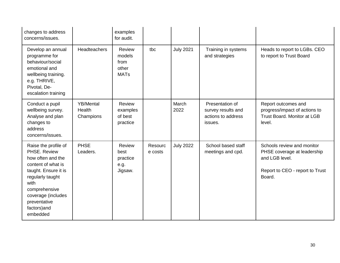| changes to address<br>concerns/issues.                                                                                                                                                                                 |                                         | examples<br>for audit.                                  |                    |                  |                                                                        |                                                                                                                          |
|------------------------------------------------------------------------------------------------------------------------------------------------------------------------------------------------------------------------|-----------------------------------------|---------------------------------------------------------|--------------------|------------------|------------------------------------------------------------------------|--------------------------------------------------------------------------------------------------------------------------|
| Develop an annual<br>programme for<br>behaviour/social<br>emotional and<br>wellbeing training.<br>e.g. THRIVE,<br>Pivotal, De-<br>escalation training                                                                  | <b>Headteachers</b>                     | <b>Review</b><br>models<br>from<br>other<br><b>MATs</b> | tbc                | <b>July 2021</b> | Training in systems<br>and strategies                                  | Heads to report to LGBs. CEO<br>to report to Trust Board                                                                 |
| Conduct a pupil<br>wellbeing survey.<br>Analyse and plan<br>changes to<br>address<br>concerns/issues.                                                                                                                  | <b>YB/Mental</b><br>Health<br>Champions | <b>Review</b><br>examples<br>of best<br>practice        |                    | March<br>2022    | Presentation of<br>survey results and<br>actions to address<br>issues. | Report outcomes and<br>progress/impact of actions to<br><b>Trust Board, Monitor at LGB</b><br>level.                     |
| Raise the profile of<br>PHSE, Review<br>how often and the<br>content of what is<br>taught. Ensure it is<br>regularly taught<br>with<br>comprehensive<br>coverage (includes<br>preventative<br>factors) and<br>embedded | <b>PHSE</b><br>Leaders.                 | Review<br>best<br>practice<br>e.g.<br>Jigsaw.           | Resourc<br>e costs | <b>July 2022</b> | School based staff<br>meetings and cpd.                                | Schools review and monitor<br>PHSE coverage at leadership<br>and LGB level.<br>Report to CEO - report to Trust<br>Board. |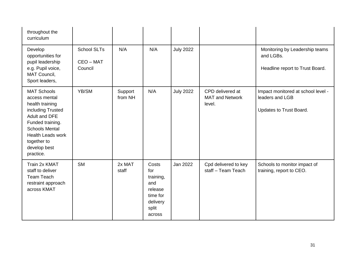| throughout the<br>curriculum                                                                                                                                                                                      |                                            |                    |                                                                                        |                  |                                                      |                                                                                  |
|-------------------------------------------------------------------------------------------------------------------------------------------------------------------------------------------------------------------|--------------------------------------------|--------------------|----------------------------------------------------------------------------------------|------------------|------------------------------------------------------|----------------------------------------------------------------------------------|
| Develop<br>opportunities for<br>pupil leadership<br>e.g. Pupil voice,<br>MAT Council,<br>Sport leaders,                                                                                                           | <b>School SLTs</b><br>CEO - MAT<br>Council | N/A                | N/A                                                                                    | <b>July 2022</b> |                                                      | Monitoring by Leadership teams<br>and LGBs.<br>Headline report to Trust Board.   |
| <b>MAT Schools</b><br>access mental<br>health training<br>including Trusted<br>Adult and DFE<br>Funded training.<br><b>Schools Mental</b><br><b>Health Leads work</b><br>together to<br>develop best<br>practice. | YB/SM                                      | Support<br>from NH | N/A                                                                                    | <b>July 2022</b> | CPD delivered at<br><b>MAT and Network</b><br>level. | Impact monitored at school level -<br>leaders and LGB<br>Updates to Trust Board. |
| Train 2x KMAT<br>staff to deliver<br><b>Team Teach</b><br>restraint approach<br>across KMAT                                                                                                                       | <b>SM</b>                                  | 2x MAT<br>staff    | Costs<br>for<br>training,<br>and<br>release<br>time for<br>delivery<br>split<br>across | <b>Jan 2022</b>  | Cpd delivered to key<br>staff - Team Teach           | Schools to monitor impact of<br>training, report to CEO.                         |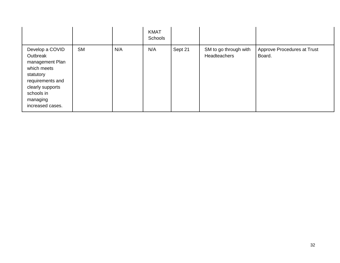|                                                                                                                                                                  |           |     | <b>KMAT</b><br>Schools |         |                                              |                                       |
|------------------------------------------------------------------------------------------------------------------------------------------------------------------|-----------|-----|------------------------|---------|----------------------------------------------|---------------------------------------|
| Develop a COVID<br>Outbreak<br>management Plan<br>which meets<br>statutory<br>requirements and<br>clearly supports<br>schools in<br>managing<br>increased cases. | <b>SM</b> | N/A | N/A                    | Sept 21 | SM to go through with<br><b>Headteachers</b> | Approve Procedures at Trust<br>Board. |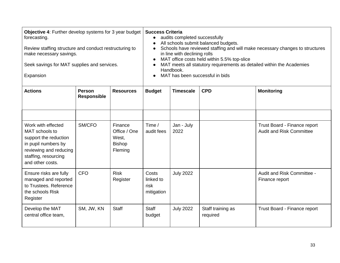| forecasting.<br>make necessary savings.<br>Expansion                                                                                                       | Objective 4: Further develop systems for 3 year budget<br>Review staffing structure and conduct restructuring to<br>Seek savings for MAT supplies and services. |                                                              | <b>Success Criteria</b><br>audits completed successfully<br>All schools submit balanced budgets.<br>Schools have reviewed staffing and will make necessary changes to structures<br>in line with declining rolls<br>MAT office costs held within 5.5% top-slice<br>MAT meets all statutory requirements as detailed within the Academies<br>Handbook.<br>MAT has been successful in bids |                    |                               |                                                                 |  |
|------------------------------------------------------------------------------------------------------------------------------------------------------------|-----------------------------------------------------------------------------------------------------------------------------------------------------------------|--------------------------------------------------------------|------------------------------------------------------------------------------------------------------------------------------------------------------------------------------------------------------------------------------------------------------------------------------------------------------------------------------------------------------------------------------------------|--------------------|-------------------------------|-----------------------------------------------------------------|--|
| <b>Actions</b>                                                                                                                                             | <b>Person</b><br><b>Responsible</b>                                                                                                                             | <b>Resources</b>                                             | <b>Budget</b>                                                                                                                                                                                                                                                                                                                                                                            | <b>Timescale</b>   | <b>CPD</b>                    | <b>Monitoring</b>                                               |  |
| Work with effected<br>MAT schools to<br>support the reduction<br>in pupil numbers by<br>reviewing and reducing<br>staffing, resourcing<br>and other costs. | SM/CFO                                                                                                                                                          | Finance<br>Office / One<br>West,<br><b>Bishop</b><br>Fleming | Time $/$<br>audit fees                                                                                                                                                                                                                                                                                                                                                                   | Jan - July<br>2022 |                               | Trust Board - Finance report<br><b>Audit and Risk Committee</b> |  |
| Ensure risks are fully<br>managed and reported<br>to Trustees. Reference<br>the schools Risk<br>Register                                                   | <b>CFO</b>                                                                                                                                                      | <b>Risk</b><br>Register                                      | Costs<br>linked to<br>risk<br>mitigation                                                                                                                                                                                                                                                                                                                                                 | <b>July 2022</b>   |                               | Audit and Risk Committee -<br>Finance report                    |  |
| Develop the MAT<br>central office team,                                                                                                                    | SM, JW, KN                                                                                                                                                      | <b>Staff</b>                                                 | <b>Staff</b><br>budget                                                                                                                                                                                                                                                                                                                                                                   | <b>July 2022</b>   | Staff training as<br>required | Trust Board - Finance report                                    |  |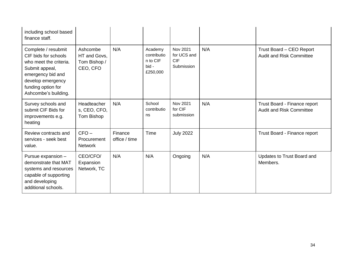| including school based<br>finance staff.                                                                                                                                        |                                                      |                          |                                                         |                                                            |     |                                                                 |
|---------------------------------------------------------------------------------------------------------------------------------------------------------------------------------|------------------------------------------------------|--------------------------|---------------------------------------------------------|------------------------------------------------------------|-----|-----------------------------------------------------------------|
| Complete / resubmit<br>CIF bids for schools<br>who meet the criteria.<br>Submit appeal,<br>emergency bid and<br>develop emergency<br>funding option for<br>Ashcombe's building. | Ashcombe<br>HT and Govs,<br>Tom Bishop /<br>CEO, CFO | N/A                      | Academy<br>contributio<br>n to CIF<br>bid -<br>£250,000 | <b>Nov 2021</b><br>for UCS and<br><b>CIF</b><br>Submission | N/A | Trust Board - CEO Report<br><b>Audit and Risk Committee</b>     |
| Survey schools and<br>submit CIF Bids for<br>improvements e.g.<br>heating                                                                                                       | <b>Headteacher</b><br>s, CEO, CFO,<br>Tom Bishop     | N/A                      | School<br>contributio<br>ns                             | <b>Nov 2021</b><br>for CIF<br>submission                   | N/A | Trust Board - Finance report<br><b>Audit and Risk Committee</b> |
| Review contracts and<br>services - seek best<br>value.                                                                                                                          | $CFO -$<br>Procurement<br><b>Network</b>             | Finance<br>office / time | Time                                                    | <b>July 2022</b>                                           |     | Trust Board - Finance report                                    |
| Pursue expansion -<br>demonstrate that MAT<br>systems and resources<br>capable of supporting<br>and developing<br>additional schools.                                           | CEO/CFO/<br>Expansion<br>Network, TC                 | N/A                      | N/A                                                     | Ongoing                                                    | N/A | Updates to Trust Board and<br>Members.                          |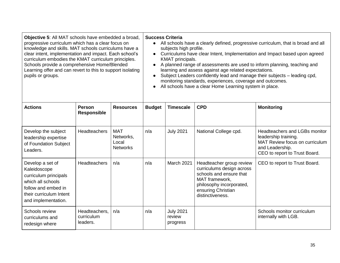| Objective 5: All MAT schools have embedded a broad,<br>progressive curriculum which has a clear focus on<br>knowledge and skills. MAT schools curriculums have a<br>clear intent, implementation and impact. Each school's<br>curriculum embodies the KMAT curriculum principles.<br>Schools provide a comprehensive Home/Blended<br>Learning offer and can revert to this to support isolating<br>pupils or groups. |                                         |                                                     | <b>Success Criteria</b><br>• All schools have a clearly defined, progressive curriculum, that is broad and all<br>subjects high profile.<br>Curriculums have clear Intent, Implementation and Impact based upon agreed<br>$\bullet$<br>KMAT principals.<br>A planned range of assessments are used to inform planning, teaching and<br>learning and assess against age related expectations.<br>Subject Leaders confidently lead and manage their subjects - leading cpd,<br>$\bullet$<br>monitoring standards, experiences, coverage and outcomes.<br>All schools have a clear Home Learning system in place. |                                        |                                                                                                                                                                          |                                                                                                                                             |  |
|----------------------------------------------------------------------------------------------------------------------------------------------------------------------------------------------------------------------------------------------------------------------------------------------------------------------------------------------------------------------------------------------------------------------|-----------------------------------------|-----------------------------------------------------|----------------------------------------------------------------------------------------------------------------------------------------------------------------------------------------------------------------------------------------------------------------------------------------------------------------------------------------------------------------------------------------------------------------------------------------------------------------------------------------------------------------------------------------------------------------------------------------------------------------|----------------------------------------|--------------------------------------------------------------------------------------------------------------------------------------------------------------------------|---------------------------------------------------------------------------------------------------------------------------------------------|--|
| <b>Actions</b>                                                                                                                                                                                                                                                                                                                                                                                                       | <b>Person</b><br><b>Responsible</b>     | <b>Resources</b>                                    | <b>Budget</b>                                                                                                                                                                                                                                                                                                                                                                                                                                                                                                                                                                                                  | <b>Timescale</b>                       | <b>CPD</b>                                                                                                                                                               | <b>Monitoring</b>                                                                                                                           |  |
| Develop the subject<br>leadership expertise<br>of Foundation Subject<br>Leaders.                                                                                                                                                                                                                                                                                                                                     | <b>Headteachers</b>                     | <b>MAT</b><br>Networks,<br>Local<br><b>Networks</b> | n/a                                                                                                                                                                                                                                                                                                                                                                                                                                                                                                                                                                                                            | <b>July 2021</b>                       | National College cpd.                                                                                                                                                    | Headteachers and LGBs monitor<br>leadership training.<br>MAT Review focus on curriculum<br>and Leadership.<br>CEO to report to Trust Board. |  |
| Develop a set of<br>Kaleidoscope<br>curriculum principals<br>which all schools<br>follow and embed in<br>their curriculum Intent<br>and implementation.                                                                                                                                                                                                                                                              | <b>Headteachers</b>                     | n/a                                                 | n/a                                                                                                                                                                                                                                                                                                                                                                                                                                                                                                                                                                                                            | March 2021                             | Headteacher group review<br>curriculums design across<br>schools and ensure that<br>MAT framework,<br>philosophy incorporated,<br>ensuring Christian<br>distinctiveness. | CEO to report to Trust Board.                                                                                                               |  |
| Schools review<br>curriculums and<br>redesign where                                                                                                                                                                                                                                                                                                                                                                  | Headteachers,<br>curriculum<br>leaders. | n/a                                                 | n/a                                                                                                                                                                                                                                                                                                                                                                                                                                                                                                                                                                                                            | <b>July 2021</b><br>review<br>progress |                                                                                                                                                                          | Schools monitor curriculum<br>internally with LGB.                                                                                          |  |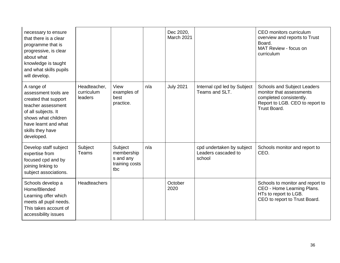| necessary to ensure<br>that there is a clear<br>programme that is<br>progressive, is clear<br>about what<br>knowledge is taught<br>and what skills pupils<br>will develop.               |                                       |                                                             |     | Dec 2020,<br>March 2021 |                                                            | CEO monitors curriculum<br>overview and reports to Trust<br>Board.<br>MAT Review - focus on<br>curriculum                             |
|------------------------------------------------------------------------------------------------------------------------------------------------------------------------------------------|---------------------------------------|-------------------------------------------------------------|-----|-------------------------|------------------------------------------------------------|---------------------------------------------------------------------------------------------------------------------------------------|
| A range of<br>assessment tools are<br>created that support<br>teacher assessment<br>of all subjects. It<br>shows what children<br>have learnt and what<br>skills they have<br>developed. | Headteacher,<br>curriculum<br>leaders | View<br>examples of<br>best<br>practice.                    | n/a | <b>July 2021</b>        | Internal cpd led by Subject<br>Teams and SLT.              | Schools and Subject Leaders<br>monitor that assessments<br>completed consistently.<br>Report to LGB. CEO to report to<br>Trust Board. |
| Develop staff subject<br>expertise from<br>focused cpd and by<br>joining linking to<br>subject associations.                                                                             | Subject<br>Teams                      | Subject<br>membership<br>s and any<br>training costs<br>tbc | n/a |                         | cpd undertaken by subject<br>Leaders cascaded to<br>school | Schools monitor and report to<br>CEO.                                                                                                 |
| Schools develop a<br>Home/Blended<br>Learning offer which<br>meets all pupil needs.<br>This takes account of<br>accessibility issues                                                     | <b>Headteachers</b>                   |                                                             |     | October<br>2020         |                                                            | Schools to monitor and report to<br>CEO - Home Learning Plans.<br>HTs to report to LGB.<br>CEO to report to Trust Board.              |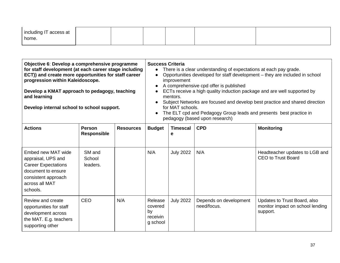| including IT access at<br>home. |  |  |  |
|---------------------------------|--|--|--|
|                                 |  |  |  |

| Objective 6: Develop a comprehensive programme<br>for staff development (at each career stage including<br>ECT)) and create more opportunities for staff career<br>progression within Kaleidoscope.<br>Develop a KMAT approach to pedagogy, teaching<br>and learning<br>Develop internal school to school support. |                                     |                  | $\bullet$<br>$\bullet$<br>$\bullet$              | <b>Success Criteria</b><br>There is a clear understanding of expectations at each pay grade.<br>Opportunities developed for staff development - they are included in school<br>improvement<br>A comprehensive cpd offer is published<br>ECTs receive a high quality induction package and are well supported by<br>mentors.<br>Subject Networks are focused and develop best practice and shared direction<br>for MAT schools.<br>The ELT cpd and Pedagogy Group leads and presents best practice in<br>pedagogy (based upon research) |                                       |                                                                              |  |
|--------------------------------------------------------------------------------------------------------------------------------------------------------------------------------------------------------------------------------------------------------------------------------------------------------------------|-------------------------------------|------------------|--------------------------------------------------|----------------------------------------------------------------------------------------------------------------------------------------------------------------------------------------------------------------------------------------------------------------------------------------------------------------------------------------------------------------------------------------------------------------------------------------------------------------------------------------------------------------------------------------|---------------------------------------|------------------------------------------------------------------------------|--|
| <b>Actions</b>                                                                                                                                                                                                                                                                                                     | <b>Person</b><br><b>Responsible</b> | <b>Resources</b> | <b>Budget</b>                                    | <b>Timescal</b><br>е                                                                                                                                                                                                                                                                                                                                                                                                                                                                                                                   | <b>CPD</b>                            | <b>Monitoring</b>                                                            |  |
| Embed new MAT wide<br>appraisal, UPS and<br><b>Career Expectations</b><br>document to ensure<br>consistent approach<br>across all MAT<br>schools.                                                                                                                                                                  | SM and<br>School<br>leaders.        |                  | N/A                                              | <b>July 2022</b>                                                                                                                                                                                                                                                                                                                                                                                                                                                                                                                       | N/A                                   | Headteacher updates to LGB and<br><b>CEO to Trust Board</b>                  |  |
| Review and create<br>opportunities for staff<br>development across<br>the MAT. E.g. teachers<br>supporting other                                                                                                                                                                                                   | CEO                                 | N/A              | Release<br>covered<br>by<br>receivin<br>g school | <b>July 2022</b>                                                                                                                                                                                                                                                                                                                                                                                                                                                                                                                       | Depends on development<br>need/focus. | Updates to Trust Board, also<br>monitor impact on school lending<br>support. |  |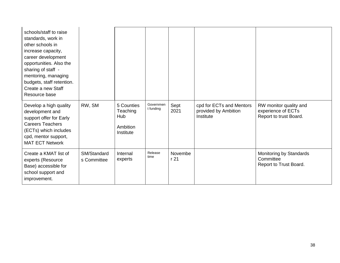| schools/staff to raise<br>standards, work in<br>other schools in<br>increase capacity,<br>career development<br>opportunities. Also the<br>sharing of staff -<br>mentoring, managing<br>budgets, staff retention.<br>Create a new Staff<br>Resource base |                            |                                                        |                        |                 |                                                               |                                                                        |
|----------------------------------------------------------------------------------------------------------------------------------------------------------------------------------------------------------------------------------------------------------|----------------------------|--------------------------------------------------------|------------------------|-----------------|---------------------------------------------------------------|------------------------------------------------------------------------|
| Develop a high quality<br>development and<br>support offer for Early<br><b>Careers Teachers</b><br>(ECTs) which includes<br>cpd, mentor support,<br><b>MAT ECT Network</b>                                                                               | RW, SM                     | 5 Counties<br>Teaching<br>Hub<br>Ambition<br>Institute | Governmen<br>t funding | Sept<br>2021    | cpd for ECTs and Mentors<br>provided by Ambition<br>Institute | RW monitor quality and<br>experience of ECTs<br>Report to trust Board. |
| Create a KMAT list of<br>experts (Resource<br>Base) accessible for<br>school support and<br>improvement.                                                                                                                                                 | SM/Standard<br>s Committee | Internal<br>experts                                    | Release<br>time        | Novembe<br>r 21 |                                                               | Monitoring by Standards<br>Committee<br>Report to Trust Board.         |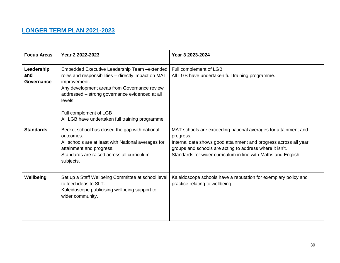# **LONGER TERM PLAN 2021-2023**

| <b>Focus Areas</b>              | Year 2 2022-2023                                                                                                                                                                                                                                                                                                | Year 3 2023-2024                                                                                                                                                                                                                                                              |
|---------------------------------|-----------------------------------------------------------------------------------------------------------------------------------------------------------------------------------------------------------------------------------------------------------------------------------------------------------------|-------------------------------------------------------------------------------------------------------------------------------------------------------------------------------------------------------------------------------------------------------------------------------|
| Leadership<br>and<br>Governance | Embedded Executive Leadership Team - extended<br>roles and responsibilities - directly impact on MAT<br>improvement.<br>Any development areas from Governance review<br>addressed - strong governance evidenced at all<br>levels.<br>Full complement of LGB<br>All LGB have undertaken full training programme. | Full complement of LGB<br>All LGB have undertaken full training programme.                                                                                                                                                                                                    |
| <b>Standards</b>                | Becket school has closed the gap with national<br>outcomes.<br>All schools are at least with National averages for<br>attainment and progress.<br>Standards are raised across all curriculum<br>subjects.                                                                                                       | MAT schools are exceeding national averages for attainment and<br>progress.<br>Internal data shows good attainment and progress across all year<br>groups and schools are acting to address where it isn't.<br>Standards for wider curriculum in line with Maths and English. |
| Wellbeing                       | Set up a Staff Wellbeing Committee at school level<br>to feed ideas to SLT.<br>Kaleidoscope publicising wellbeing support to<br>wider community.                                                                                                                                                                | Kaleidoscope schools have a reputation for exemplary policy and<br>practice relating to wellbeing.                                                                                                                                                                            |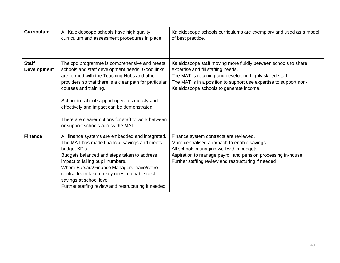| <b>Curriculum</b>                  | All Kaleidoscope schools have high quality<br>curriculum and assessment procedures in place.                                                                                                                                                                                                                                                                                                                                   | Kaleidoscope schools curriculums are exemplary and used as a model<br>of best practice.                                                                                                                                                                                             |
|------------------------------------|--------------------------------------------------------------------------------------------------------------------------------------------------------------------------------------------------------------------------------------------------------------------------------------------------------------------------------------------------------------------------------------------------------------------------------|-------------------------------------------------------------------------------------------------------------------------------------------------------------------------------------------------------------------------------------------------------------------------------------|
| <b>Staff</b><br><b>Development</b> | The cpd programme is comprehensive and meets<br>schools and staff development needs. Good links<br>are formed with the Teaching Hubs and other<br>providers so that there is a clear path for particular<br>courses and training.<br>School to school support operates quickly and<br>effectively and impact can be demonstrated.<br>There are clearer options for staff to work between<br>or support schools across the MAT. | Kaleidoscope staff moving more fluidly between schools to share<br>expertise and fill staffing needs.<br>The MAT is retaining and developing highly skilled staff.<br>The MAT is in a position to support use expertise to support non-<br>Kaleidoscope schools to generate income. |
| <b>Finance</b>                     | All finance systems are embedded and integrated.<br>The MAT has made financial savings and meets<br>budget KPIs<br>Budgets balanced and steps taken to address<br>impact of falling pupil numbers.<br>Where Bursars/Finance Managers leave/retire -<br>central team take on key roles to enable cost<br>savings at school level.<br>Further staffing review and restructuring if needed.                                       | Finance system contracts are reviewed.<br>More centralised approach to enable savings.<br>All schools managing well within budgets.<br>Aspiration to manage payroll and pension processing in-house.<br>Further staffing review and restructuring if needed                         |